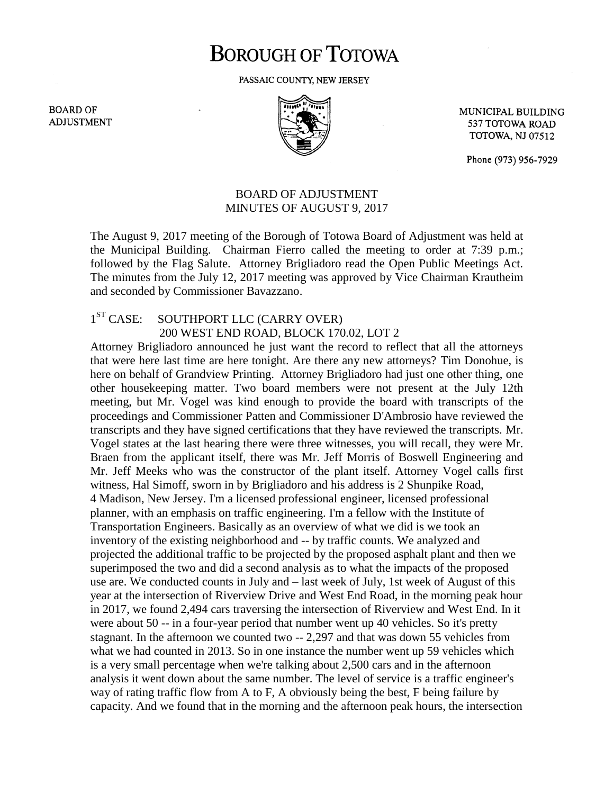## **BOROUGH OF TOTOWA**

PASSAIC COUNTY, NEW JERSEY

**BOARD OF ADJUSTMENT** 



MUNICIPAL BUILDING 537 TOTOWA ROAD **TOTOWA, NJ 07512** 

Phone (973) 956-7929

## BOARD OF ADJUSTMENT MINUTES OF AUGUST 9, 2017

The August 9, 2017 meeting of the Borough of Totowa Board of Adjustment was held at the Municipal Building. Chairman Fierro called the meeting to order at 7:39 p.m.; followed by the Flag Salute. Attorney Brigliadoro read the Open Public Meetings Act. The minutes from the July 12, 2017 meeting was approved by Vice Chairman Krautheim and seconded by Commissioner Bavazzano.

## $1<sup>ST</sup> CASE:$ SOUTHPORT LLC (CARRY OVER) 200 WEST END ROAD, BLOCK 170.02, LOT 2

Attorney Brigliadoro announced he just want the record to reflect that all the attorneys that were here last time are here tonight. Are there any new attorneys? Tim Donohue, is here on behalf of Grandview Printing. Attorney Brigliadoro had just one other thing, one other housekeeping matter. Two board members were not present at the July 12th meeting, but Mr. Vogel was kind enough to provide the board with transcripts of the proceedings and Commissioner Patten and Commissioner D'Ambrosio have reviewed the transcripts and they have signed certifications that they have reviewed the transcripts. Mr. Vogel states at the last hearing there were three witnesses, you will recall, they were Mr. Braen from the applicant itself, there was Mr. Jeff Morris of Boswell Engineering and Mr. Jeff Meeks who was the constructor of the plant itself. Attorney Vogel calls first witness, Hal Simoff, sworn in by Brigliadoro and his address is 2 Shunpike Road, 4 Madison, New Jersey. I'm a licensed professional engineer, licensed professional planner, with an emphasis on traffic engineering. I'm a fellow with the Institute of Transportation Engineers. Basically as an overview of what we did is we took an inventory of the existing neighborhood and -- by traffic counts. We analyzed and projected the additional traffic to be projected by the proposed asphalt plant and then we superimposed the two and did a second analysis as to what the impacts of the proposed use are. We conducted counts in July and – last week of July, 1st week of August of this year at the intersection of Riverview Drive and West End Road, in the morning peak hour in 2017, we found 2,494 cars traversing the intersection of Riverview and West End. In it were about 50 -- in a four-year period that number went up 40 vehicles. So it's pretty stagnant. In the afternoon we counted two -- 2,297 and that was down 55 vehicles from what we had counted in 2013. So in one instance the number went up 59 vehicles which is a very small percentage when we're talking about 2,500 cars and in the afternoon analysis it went down about the same number. The level of service is a traffic engineer's way of rating traffic flow from A to F, A obviously being the best, F being failure by capacity. And we found that in the morning and the afternoon peak hours, the intersection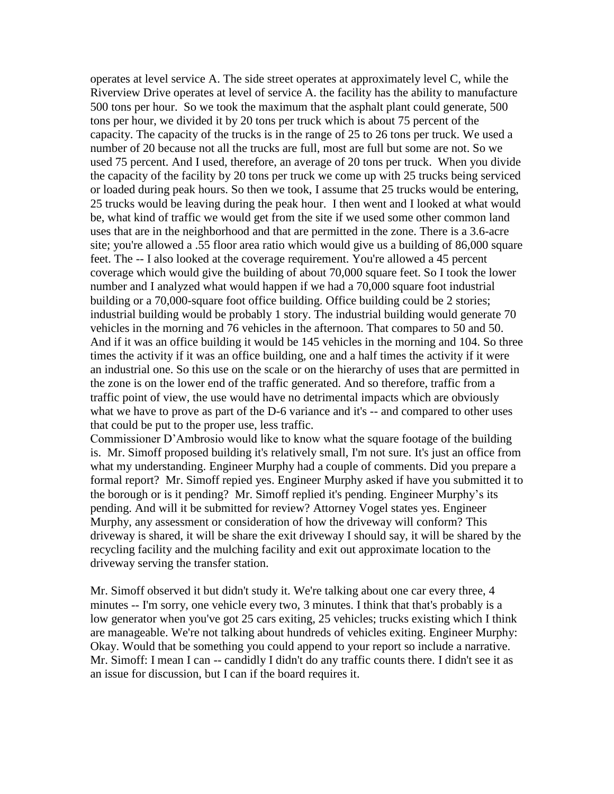operates at level service A. The side street operates at approximately level C, while the Riverview Drive operates at level of service A. the facility has the ability to manufacture 500 tons per hour. So we took the maximum that the asphalt plant could generate, 500 tons per hour, we divided it by 20 tons per truck which is about 75 percent of the capacity. The capacity of the trucks is in the range of 25 to 26 tons per truck. We used a number of 20 because not all the trucks are full, most are full but some are not. So we used 75 percent. And I used, therefore, an average of 20 tons per truck. When you divide the capacity of the facility by 20 tons per truck we come up with 25 trucks being serviced or loaded during peak hours. So then we took, I assume that 25 trucks would be entering, 25 trucks would be leaving during the peak hour. I then went and I looked at what would be, what kind of traffic we would get from the site if we used some other common land uses that are in the neighborhood and that are permitted in the zone. There is a 3.6-acre site; you're allowed a .55 floor area ratio which would give us a building of 86,000 square feet. The -- I also looked at the coverage requirement. You're allowed a 45 percent coverage which would give the building of about 70,000 square feet. So I took the lower number and I analyzed what would happen if we had a 70,000 square foot industrial building or a 70,000-square foot office building. Office building could be 2 stories; industrial building would be probably 1 story. The industrial building would generate 70 vehicles in the morning and 76 vehicles in the afternoon. That compares to 50 and 50. And if it was an office building it would be 145 vehicles in the morning and 104. So three times the activity if it was an office building, one and a half times the activity if it were an industrial one. So this use on the scale or on the hierarchy of uses that are permitted in the zone is on the lower end of the traffic generated. And so therefore, traffic from a traffic point of view, the use would have no detrimental impacts which are obviously what we have to prove as part of the D-6 variance and it's -- and compared to other uses that could be put to the proper use, less traffic.

Commissioner D'Ambrosio would like to know what the square footage of the building is. Mr. Simoff proposed building it's relatively small, I'm not sure. It's just an office from what my understanding. Engineer Murphy had a couple of comments. Did you prepare a formal report? Mr. Simoff repied yes. Engineer Murphy asked if have you submitted it to the borough or is it pending? Mr. Simoff replied it's pending. Engineer Murphy's its pending. And will it be submitted for review? Attorney Vogel states yes. Engineer Murphy, any assessment or consideration of how the driveway will conform? This driveway is shared, it will be share the exit driveway I should say, it will be shared by the recycling facility and the mulching facility and exit out approximate location to the driveway serving the transfer station.

Mr. Simoff observed it but didn't study it. We're talking about one car every three, 4 minutes -- I'm sorry, one vehicle every two, 3 minutes. I think that that's probably is a low generator when you've got 25 cars exiting, 25 vehicles; trucks existing which I think are manageable. We're not talking about hundreds of vehicles exiting. Engineer Murphy: Okay. Would that be something you could append to your report so include a narrative. Mr. Simoff: I mean I can -- candidly I didn't do any traffic counts there. I didn't see it as an issue for discussion, but I can if the board requires it.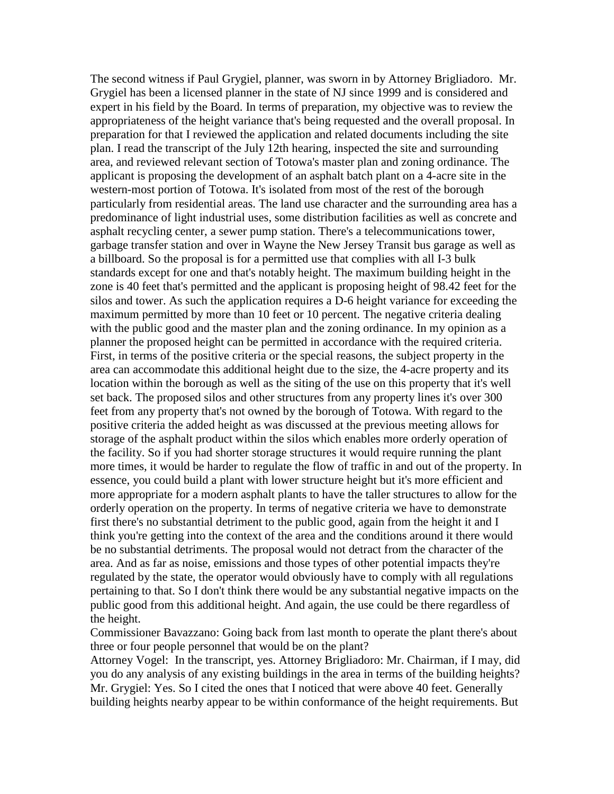The second witness if Paul Grygiel, planner, was sworn in by Attorney Brigliadoro. Mr. Grygiel has been a licensed planner in the state of NJ since 1999 and is considered and expert in his field by the Board. In terms of preparation, my objective was to review the appropriateness of the height variance that's being requested and the overall proposal. In preparation for that I reviewed the application and related documents including the site plan. I read the transcript of the July 12th hearing, inspected the site and surrounding area, and reviewed relevant section of Totowa's master plan and zoning ordinance. The applicant is proposing the development of an asphalt batch plant on a 4-acre site in the western-most portion of Totowa. It's isolated from most of the rest of the borough particularly from residential areas. The land use character and the surrounding area has a predominance of light industrial uses, some distribution facilities as well as concrete and asphalt recycling center, a sewer pump station. There's a telecommunications tower, garbage transfer station and over in Wayne the New Jersey Transit bus garage as well as a billboard. So the proposal is for a permitted use that complies with all I-3 bulk standards except for one and that's notably height. The maximum building height in the zone is 40 feet that's permitted and the applicant is proposing height of 98.42 feet for the silos and tower. As such the application requires a D-6 height variance for exceeding the maximum permitted by more than 10 feet or 10 percent. The negative criteria dealing with the public good and the master plan and the zoning ordinance. In my opinion as a planner the proposed height can be permitted in accordance with the required criteria. First, in terms of the positive criteria or the special reasons, the subject property in the area can accommodate this additional height due to the size, the 4-acre property and its location within the borough as well as the siting of the use on this property that it's well set back. The proposed silos and other structures from any property lines it's over 300 feet from any property that's not owned by the borough of Totowa. With regard to the positive criteria the added height as was discussed at the previous meeting allows for storage of the asphalt product within the silos which enables more orderly operation of the facility. So if you had shorter storage structures it would require running the plant more times, it would be harder to regulate the flow of traffic in and out of the property. In essence, you could build a plant with lower structure height but it's more efficient and more appropriate for a modern asphalt plants to have the taller structures to allow for the orderly operation on the property. In terms of negative criteria we have to demonstrate first there's no substantial detriment to the public good, again from the height it and I think you're getting into the context of the area and the conditions around it there would be no substantial detriments. The proposal would not detract from the character of the area. And as far as noise, emissions and those types of other potential impacts they're regulated by the state, the operator would obviously have to comply with all regulations pertaining to that. So I don't think there would be any substantial negative impacts on the public good from this additional height. And again, the use could be there regardless of the height.

Commissioner Bavazzano: Going back from last month to operate the plant there's about three or four people personnel that would be on the plant?

Attorney Vogel: In the transcript, yes. Attorney Brigliadoro: Mr. Chairman, if I may, did you do any analysis of any existing buildings in the area in terms of the building heights? Mr. Grygiel: Yes. So I cited the ones that I noticed that were above 40 feet. Generally building heights nearby appear to be within conformance of the height requirements. But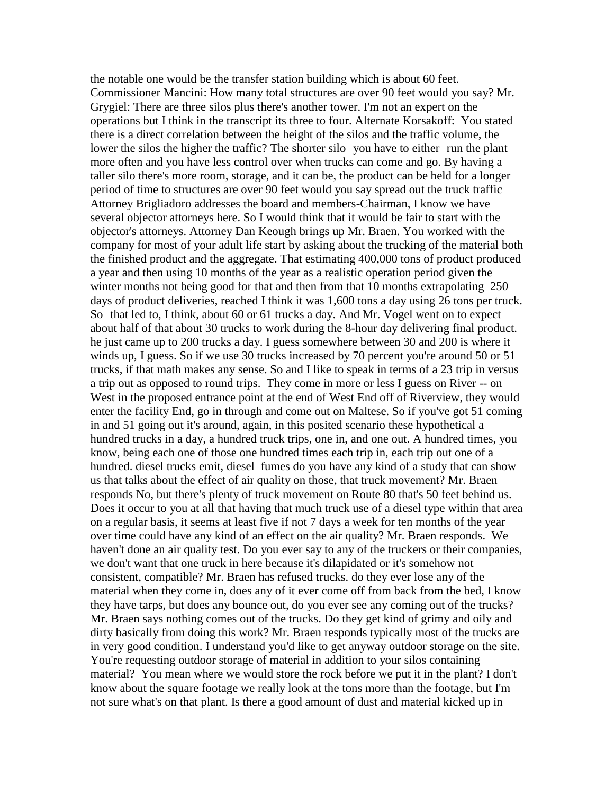the notable one would be the transfer station building which is about 60 feet. Commissioner Mancini: How many total structures are over 90 feet would you say? Mr. Grygiel: There are three silos plus there's another tower. I'm not an expert on the operations but I think in the transcript its three to four. Alternate Korsakoff: You stated there is a direct correlation between the height of the silos and the traffic volume, the lower the silos the higher the traffic? The shorter silo you have to either run the plant more often and you have less control over when trucks can come and go. By having a taller silo there's more room, storage, and it can be, the product can be held for a longer period of time to structures are over 90 feet would you say spread out the truck traffic Attorney Brigliadoro addresses the board and members-Chairman, I know we have several objector attorneys here. So I would think that it would be fair to start with the objector's attorneys. Attorney Dan Keough brings up Mr. Braen. You worked with the company for most of your adult life start by asking about the trucking of the material both the finished product and the aggregate. That estimating 400,000 tons of product produced a year and then using 10 months of the year as a realistic operation period given the winter months not being good for that and then from that 10 months extrapolating 250 days of product deliveries, reached I think it was 1,600 tons a day using 26 tons per truck. So that led to, I think, about 60 or 61 trucks a day. And Mr. Vogel went on to expect about half of that about 30 trucks to work during the 8-hour day delivering final product. he just came up to 200 trucks a day. I guess somewhere between 30 and 200 is where it winds up, I guess. So if we use 30 trucks increased by 70 percent you're around 50 or 51 trucks, if that math makes any sense. So and I like to speak in terms of a 23 trip in versus a trip out as opposed to round trips. They come in more or less I guess on River -- on West in the proposed entrance point at the end of West End off of Riverview, they would enter the facility End, go in through and come out on Maltese. So if you've got 51 coming in and 51 going out it's around, again, in this posited scenario these hypothetical a hundred trucks in a day, a hundred truck trips, one in, and one out. A hundred times, you know, being each one of those one hundred times each trip in, each trip out one of a hundred. diesel trucks emit, diesel fumes do you have any kind of a study that can show us that talks about the effect of air quality on those, that truck movement? Mr. Braen responds No, but there's plenty of truck movement on Route 80 that's 50 feet behind us. Does it occur to you at all that having that much truck use of a diesel type within that area on a regular basis, it seems at least five if not 7 days a week for ten months of the year over time could have any kind of an effect on the air quality? Mr. Braen responds. We haven't done an air quality test. Do you ever say to any of the truckers or their companies, we don't want that one truck in here because it's dilapidated or it's somehow not consistent, compatible? Mr. Braen has refused trucks. do they ever lose any of the material when they come in, does any of it ever come off from back from the bed, I know they have tarps, but does any bounce out, do you ever see any coming out of the trucks? Mr. Braen says nothing comes out of the trucks. Do they get kind of grimy and oily and dirty basically from doing this work? Mr. Braen responds typically most of the trucks are in very good condition. I understand you'd like to get anyway outdoor storage on the site. You're requesting outdoor storage of material in addition to your silos containing material? You mean where we would store the rock before we put it in the plant? I don't know about the square footage we really look at the tons more than the footage, but I'm not sure what's on that plant. Is there a good amount of dust and material kicked up in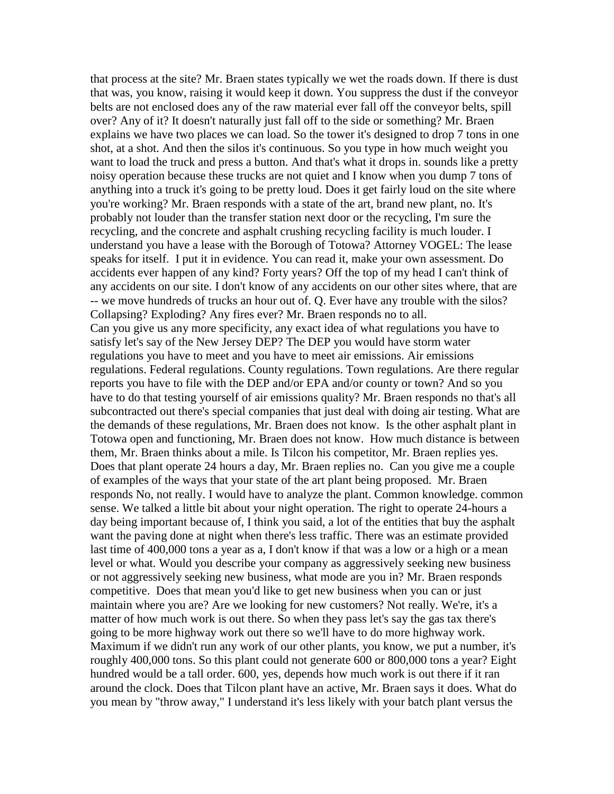that process at the site? Mr. Braen states typically we wet the roads down. If there is dust that was, you know, raising it would keep it down. You suppress the dust if the conveyor belts are not enclosed does any of the raw material ever fall off the conveyor belts, spill over? Any of it? It doesn't naturally just fall off to the side or something? Mr. Braen explains we have two places we can load. So the tower it's designed to drop 7 tons in one shot, at a shot. And then the silos it's continuous. So you type in how much weight you want to load the truck and press a button. And that's what it drops in. sounds like a pretty noisy operation because these trucks are not quiet and I know when you dump 7 tons of anything into a truck it's going to be pretty loud. Does it get fairly loud on the site where you're working? Mr. Braen responds with a state of the art, brand new plant, no. It's probably not louder than the transfer station next door or the recycling, I'm sure the recycling, and the concrete and asphalt crushing recycling facility is much louder. I understand you have a lease with the Borough of Totowa? Attorney VOGEL: The lease speaks for itself. I put it in evidence. You can read it, make your own assessment. Do accidents ever happen of any kind? Forty years? Off the top of my head I can't think of any accidents on our site. I don't know of any accidents on our other sites where, that are -- we move hundreds of trucks an hour out of. Q. Ever have any trouble with the silos? Collapsing? Exploding? Any fires ever? Mr. Braen responds no to all. Can you give us any more specificity, any exact idea of what regulations you have to satisfy let's say of the New Jersey DEP? The DEP you would have storm water regulations you have to meet and you have to meet air emissions. Air emissions regulations. Federal regulations. County regulations. Town regulations. Are there regular reports you have to file with the DEP and/or EPA and/or county or town? And so you have to do that testing yourself of air emissions quality? Mr. Braen responds no that's all subcontracted out there's special companies that just deal with doing air testing. What are the demands of these regulations, Mr. Braen does not know. Is the other asphalt plant in Totowa open and functioning, Mr. Braen does not know. How much distance is between them, Mr. Braen thinks about a mile. Is Tilcon his competitor, Mr. Braen replies yes. Does that plant operate 24 hours a day, Mr. Braen replies no. Can you give me a couple of examples of the ways that your state of the art plant being proposed. Mr. Braen responds No, not really. I would have to analyze the plant. Common knowledge. common sense. We talked a little bit about your night operation. The right to operate 24-hours a day being important because of, I think you said, a lot of the entities that buy the asphalt want the paving done at night when there's less traffic. There was an estimate provided last time of 400,000 tons a year as a, I don't know if that was a low or a high or a mean level or what. Would you describe your company as aggressively seeking new business or not aggressively seeking new business, what mode are you in? Mr. Braen responds competitive. Does that mean you'd like to get new business when you can or just maintain where you are? Are we looking for new customers? Not really. We're, it's a matter of how much work is out there. So when they pass let's say the gas tax there's going to be more highway work out there so we'll have to do more highway work. Maximum if we didn't run any work of our other plants, you know, we put a number, it's roughly 400,000 tons. So this plant could not generate 600 or 800,000 tons a year? Eight hundred would be a tall order. 600, yes, depends how much work is out there if it ran around the clock. Does that Tilcon plant have an active, Mr. Braen says it does. What do you mean by "throw away," I understand it's less likely with your batch plant versus the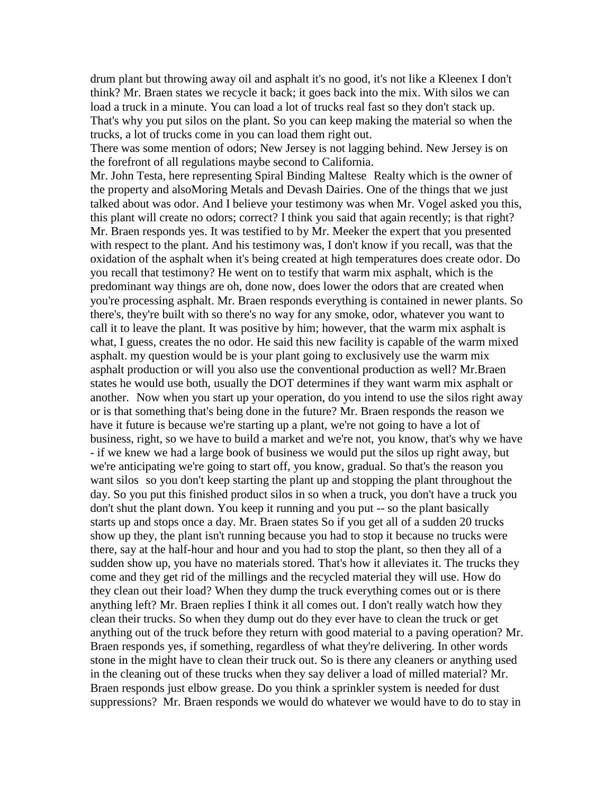drum plant but throwing away oil and asphalt it's no good, it's not like a Kleenex I don't think? Mr. Braen states we recycle it back; it goes back into the mix. With silos we can load a truck in a minute. You can load a lot of trucks real fast so they don't stack up. That's why you put silos on the plant. So you can keep making the material so when the trucks, a lot of trucks come in you can load them right out.

There was some mention of odors; New Jersey is not lagging behind. New Jersey is on the forefront of all regulations maybe second to California.

Mr. John Testa, here representing Spiral Binding Maltese Realty which is the owner of the property and alsoMoring Metals and Devash Dairies. One of the things that we just talked about was odor. And I believe your testimony was when Mr. Vogel asked you this, this plant will create no odors; correct? I think you said that again recently; is that right? Mr. Braen responds yes. It was testified to by Mr. Meeker the expert that you presented with respect to the plant. And his testimony was, I don't know if you recall, was that the oxidation of the asphalt when it's being created at high temperatures does create odor. Do you recall that testimony? He went on to testify that warm mix asphalt, which is the predominant way things are oh, done now, does lower the odors that are created when you're processing asphalt. Mr. Braen responds everything is contained in newer plants. So there's, they're built with so there's no way for any smoke, odor, whatever you want to call it to leave the plant. It was positive by him; however, that the warm mix asphalt is what, I guess, creates the no odor. He said this new facility is capable of the warm mixed asphalt. my question would be is your plant going to exclusively use the warm mix asphalt production or will you also use the conventional production as well? Mr.Braen states he would use both, usually the DOT determines if they want warm mix asphalt or another. Now when you start up your operation, do you intend to use the silos right away or is that something that's being done in the future? Mr. Braen responds the reason we have it future is because we're starting up a plant, we're not going to have a lot of business, right, so we have to build a market and we're not, you know, that's why we have - if we knew we had a large book of business we would put the silos up right away, but we're anticipating we're going to start off, you know, gradual. So that's the reason you want silos so you don't keep starting the plant up and stopping the plant throughout the day. So you put this finished product silos in so when a truck, you don't have a truck you don't shut the plant down. You keep it running and you put -- so the plant basically starts up and stops once a day. Mr. Braen states So if you get all of a sudden 20 trucks show up they, the plant isn't running because you had to stop it because no trucks were there, say at the half-hour and hour and you had to stop the plant, so then they all of a sudden show up, you have no materials stored. That's how it alleviates it. The trucks they come and they get rid of the millings and the recycled material they will use. How do they clean out their load? When they dump the truck everything comes out or is there anything left? Mr. Braen replies I think it all comes out. I don't really watch how they clean their trucks. So when they dump out do they ever have to clean the truck or get anything out of the truck before they return with good material to a paving operation? Mr. Braen responds yes, if something, regardless of what they're delivering. In other words stone in the might have to clean their truck out. So is there any cleaners or anything used in the cleaning out of these trucks when they say deliver a load of milled material? Mr. Braen responds just elbow grease. Do you think a sprinkler system is needed for dust suppressions? Mr. Braen responds we would do whatever we would have to do to stay in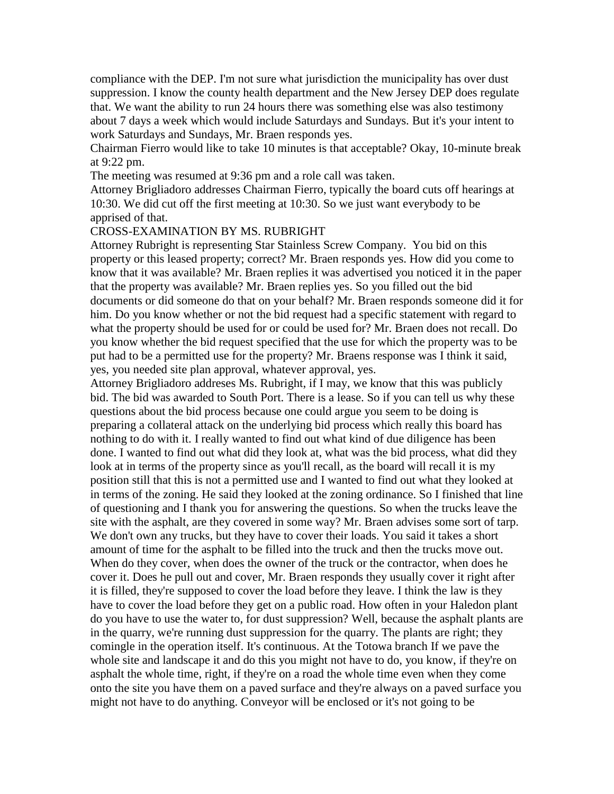compliance with the DEP. I'm not sure what jurisdiction the municipality has over dust suppression. I know the county health department and the New Jersey DEP does regulate that. We want the ability to run 24 hours there was something else was also testimony about 7 days a week which would include Saturdays and Sundays. But it's your intent to work Saturdays and Sundays, Mr. Braen responds yes.

Chairman Fierro would like to take 10 minutes is that acceptable? Okay, 10-minute break at 9:22 pm.

The meeting was resumed at 9:36 pm and a role call was taken.

Attorney Brigliadoro addresses Chairman Fierro, typically the board cuts off hearings at 10:30. We did cut off the first meeting at 10:30. So we just want everybody to be apprised of that.

## CROSS-EXAMINATION BY MS. RUBRIGHT

Attorney Rubright is representing Star Stainless Screw Company. You bid on this property or this leased property; correct? Mr. Braen responds yes. How did you come to know that it was available? Mr. Braen replies it was advertised you noticed it in the paper that the property was available? Mr. Braen replies yes. So you filled out the bid documents or did someone do that on your behalf? Mr. Braen responds someone did it for him. Do you know whether or not the bid request had a specific statement with regard to what the property should be used for or could be used for? Mr. Braen does not recall. Do you know whether the bid request specified that the use for which the property was to be put had to be a permitted use for the property? Mr. Braens response was I think it said, yes, you needed site plan approval, whatever approval, yes.

Attorney Brigliadoro addreses Ms. Rubright, if I may, we know that this was publicly bid. The bid was awarded to South Port. There is a lease. So if you can tell us why these questions about the bid process because one could argue you seem to be doing is preparing a collateral attack on the underlying bid process which really this board has nothing to do with it. I really wanted to find out what kind of due diligence has been done. I wanted to find out what did they look at, what was the bid process, what did they look at in terms of the property since as you'll recall, as the board will recall it is my position still that this is not a permitted use and I wanted to find out what they looked at in terms of the zoning. He said they looked at the zoning ordinance. So I finished that line of questioning and I thank you for answering the questions. So when the trucks leave the site with the asphalt, are they covered in some way? Mr. Braen advises some sort of tarp. We don't own any trucks, but they have to cover their loads. You said it takes a short amount of time for the asphalt to be filled into the truck and then the trucks move out. When do they cover, when does the owner of the truck or the contractor, when does he cover it. Does he pull out and cover, Mr. Braen responds they usually cover it right after it is filled, they're supposed to cover the load before they leave. I think the law is they have to cover the load before they get on a public road. How often in your Haledon plant do you have to use the water to, for dust suppression? Well, because the asphalt plants are in the quarry, we're running dust suppression for the quarry. The plants are right; they comingle in the operation itself. It's continuous. At the Totowa branch If we pave the whole site and landscape it and do this you might not have to do, you know, if they're on asphalt the whole time, right, if they're on a road the whole time even when they come onto the site you have them on a paved surface and they're always on a paved surface you might not have to do anything. Conveyor will be enclosed or it's not going to be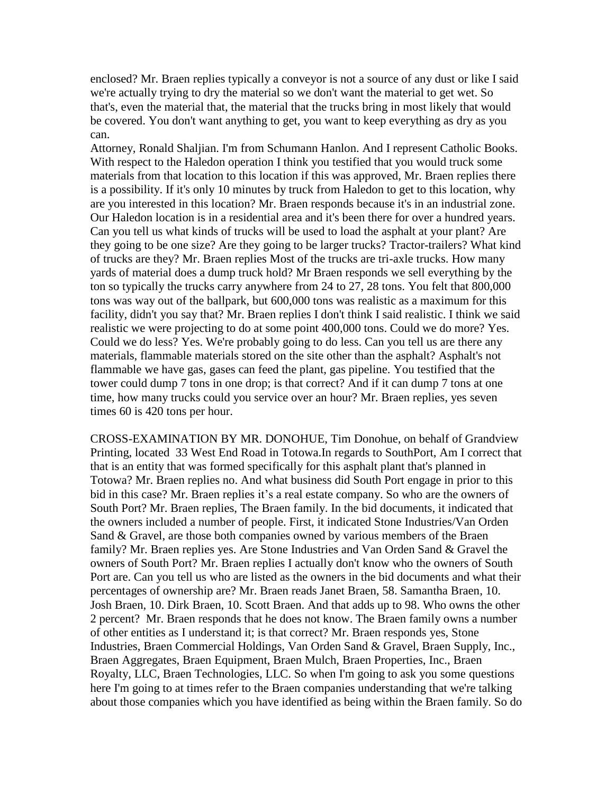enclosed? Mr. Braen replies typically a conveyor is not a source of any dust or like I said we're actually trying to dry the material so we don't want the material to get wet. So that's, even the material that, the material that the trucks bring in most likely that would be covered. You don't want anything to get, you want to keep everything as dry as you can.

Attorney, Ronald Shaljian. I'm from Schumann Hanlon. And I represent Catholic Books. With respect to the Haledon operation I think you testified that you would truck some materials from that location to this location if this was approved, Mr. Braen replies there is a possibility. If it's only 10 minutes by truck from Haledon to get to this location, why are you interested in this location? Mr. Braen responds because it's in an industrial zone. Our Haledon location is in a residential area and it's been there for over a hundred years. Can you tell us what kinds of trucks will be used to load the asphalt at your plant? Are they going to be one size? Are they going to be larger trucks? Tractor-trailers? What kind of trucks are they? Mr. Braen replies Most of the trucks are tri-axle trucks. How many yards of material does a dump truck hold? Mr Braen responds we sell everything by the ton so typically the trucks carry anywhere from 24 to 27, 28 tons. You felt that 800,000 tons was way out of the ballpark, but 600,000 tons was realistic as a maximum for this facility, didn't you say that? Mr. Braen replies I don't think I said realistic. I think we said realistic we were projecting to do at some point 400,000 tons. Could we do more? Yes. Could we do less? Yes. We're probably going to do less. Can you tell us are there any materials, flammable materials stored on the site other than the asphalt? Asphalt's not flammable we have gas, gases can feed the plant, gas pipeline. You testified that the tower could dump 7 tons in one drop; is that correct? And if it can dump 7 tons at one time, how many trucks could you service over an hour? Mr. Braen replies, yes seven times 60 is 420 tons per hour.

CROSS-EXAMINATION BY MR. DONOHUE, Tim Donohue, on behalf of Grandview Printing, located 33 West End Road in Totowa.In regards to SouthPort, Am I correct that that is an entity that was formed specifically for this asphalt plant that's planned in Totowa? Mr. Braen replies no. And what business did South Port engage in prior to this bid in this case? Mr. Braen replies it's a real estate company. So who are the owners of South Port? Mr. Braen replies, The Braen family. In the bid documents, it indicated that the owners included a number of people. First, it indicated Stone Industries/Van Orden Sand & Gravel, are those both companies owned by various members of the Braen family? Mr. Braen replies yes. Are Stone Industries and Van Orden Sand & Gravel the owners of South Port? Mr. Braen replies I actually don't know who the owners of South Port are. Can you tell us who are listed as the owners in the bid documents and what their percentages of ownership are? Mr. Braen reads Janet Braen, 58. Samantha Braen, 10. Josh Braen, 10. Dirk Braen, 10. Scott Braen. And that adds up to 98. Who owns the other 2 percent? Mr. Braen responds that he does not know. The Braen family owns a number of other entities as I understand it; is that correct? Mr. Braen responds yes, Stone Industries, Braen Commercial Holdings, Van Orden Sand & Gravel, Braen Supply, Inc., Braen Aggregates, Braen Equipment, Braen Mulch, Braen Properties, Inc., Braen Royalty, LLC, Braen Technologies, LLC. So when I'm going to ask you some questions here I'm going to at times refer to the Braen companies understanding that we're talking about those companies which you have identified as being within the Braen family. So do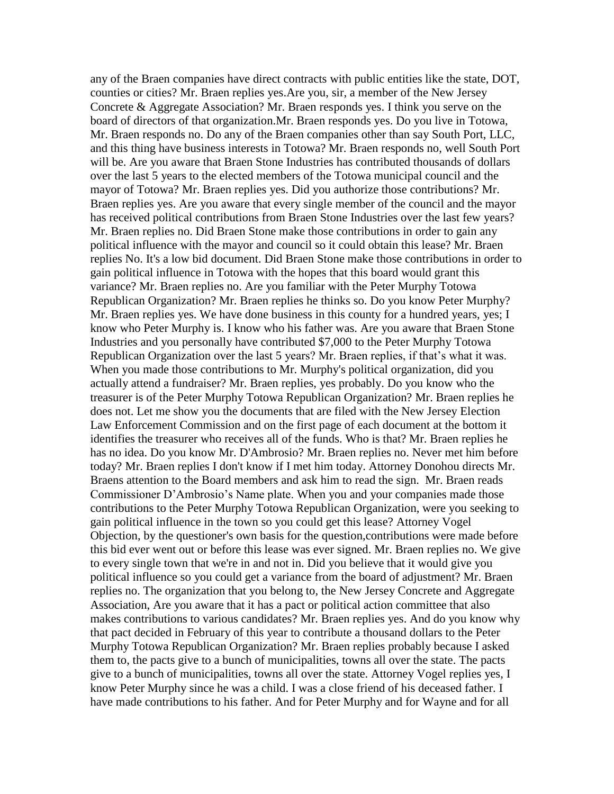any of the Braen companies have direct contracts with public entities like the state, DOT, counties or cities? Mr. Braen replies yes.Are you, sir, a member of the New Jersey Concrete & Aggregate Association? Mr. Braen responds yes. I think you serve on the board of directors of that organization.Mr. Braen responds yes. Do you live in Totowa, Mr. Braen responds no. Do any of the Braen companies other than say South Port, LLC, and this thing have business interests in Totowa? Mr. Braen responds no, well South Port will be. Are you aware that Braen Stone Industries has contributed thousands of dollars over the last 5 years to the elected members of the Totowa municipal council and the mayor of Totowa? Mr. Braen replies yes. Did you authorize those contributions? Mr. Braen replies yes. Are you aware that every single member of the council and the mayor has received political contributions from Braen Stone Industries over the last few years? Mr. Braen replies no. Did Braen Stone make those contributions in order to gain any political influence with the mayor and council so it could obtain this lease? Mr. Braen replies No. It's a low bid document. Did Braen Stone make those contributions in order to gain political influence in Totowa with the hopes that this board would grant this variance? Mr. Braen replies no. Are you familiar with the Peter Murphy Totowa Republican Organization? Mr. Braen replies he thinks so. Do you know Peter Murphy? Mr. Braen replies yes. We have done business in this county for a hundred years, yes; I know who Peter Murphy is. I know who his father was. Are you aware that Braen Stone Industries and you personally have contributed \$7,000 to the Peter Murphy Totowa Republican Organization over the last 5 years? Mr. Braen replies, if that's what it was. When you made those contributions to Mr. Murphy's political organization, did you actually attend a fundraiser? Mr. Braen replies, yes probably. Do you know who the treasurer is of the Peter Murphy Totowa Republican Organization? Mr. Braen replies he does not. Let me show you the documents that are filed with the New Jersey Election Law Enforcement Commission and on the first page of each document at the bottom it identifies the treasurer who receives all of the funds. Who is that? Mr. Braen replies he has no idea. Do you know Mr. D'Ambrosio? Mr. Braen replies no. Never met him before today? Mr. Braen replies I don't know if I met him today. Attorney Donohou directs Mr. Braens attention to the Board members and ask him to read the sign. Mr. Braen reads Commissioner D'Ambrosio's Name plate. When you and your companies made those contributions to the Peter Murphy Totowa Republican Organization, were you seeking to gain political influence in the town so you could get this lease? Attorney Vogel Objection, by the questioner's own basis for the question,contributions were made before this bid ever went out or before this lease was ever signed. Mr. Braen replies no. We give to every single town that we're in and not in. Did you believe that it would give you political influence so you could get a variance from the board of adjustment? Mr. Braen replies no. The organization that you belong to, the New Jersey Concrete and Aggregate Association, Are you aware that it has a pact or political action committee that also makes contributions to various candidates? Mr. Braen replies yes. And do you know why that pact decided in February of this year to contribute a thousand dollars to the Peter Murphy Totowa Republican Organization? Mr. Braen replies probably because I asked them to, the pacts give to a bunch of municipalities, towns all over the state. The pacts give to a bunch of municipalities, towns all over the state. Attorney Vogel replies yes, I know Peter Murphy since he was a child. I was a close friend of his deceased father. I have made contributions to his father. And for Peter Murphy and for Wayne and for all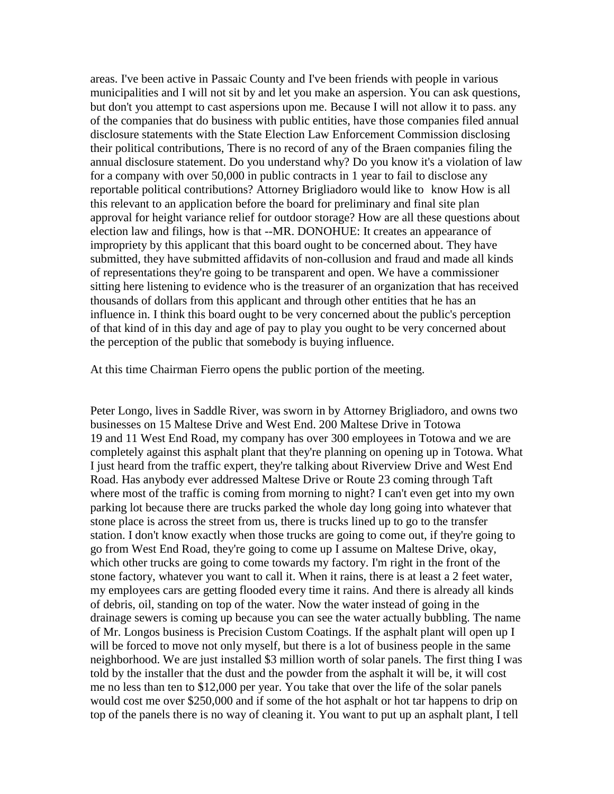areas. I've been active in Passaic County and I've been friends with people in various municipalities and I will not sit by and let you make an aspersion. You can ask questions, but don't you attempt to cast aspersions upon me. Because I will not allow it to pass. any of the companies that do business with public entities, have those companies filed annual disclosure statements with the State Election Law Enforcement Commission disclosing their political contributions, There is no record of any of the Braen companies filing the annual disclosure statement. Do you understand why? Do you know it's a violation of law for a company with over 50,000 in public contracts in 1 year to fail to disclose any reportable political contributions? Attorney Brigliadoro would like to know How is all this relevant to an application before the board for preliminary and final site plan approval for height variance relief for outdoor storage? How are all these questions about election law and filings, how is that --MR. DONOHUE: It creates an appearance of impropriety by this applicant that this board ought to be concerned about. They have submitted, they have submitted affidavits of non-collusion and fraud and made all kinds of representations they're going to be transparent and open. We have a commissioner sitting here listening to evidence who is the treasurer of an organization that has received thousands of dollars from this applicant and through other entities that he has an influence in. I think this board ought to be very concerned about the public's perception of that kind of in this day and age of pay to play you ought to be very concerned about the perception of the public that somebody is buying influence.

At this time Chairman Fierro opens the public portion of the meeting.

Peter Longo, lives in Saddle River, was sworn in by Attorney Brigliadoro, and owns two businesses on 15 Maltese Drive and West End. 200 Maltese Drive in Totowa 19 and 11 West End Road, my company has over 300 employees in Totowa and we are completely against this asphalt plant that they're planning on opening up in Totowa. What I just heard from the traffic expert, they're talking about Riverview Drive and West End Road. Has anybody ever addressed Maltese Drive or Route 23 coming through Taft where most of the traffic is coming from morning to night? I can't even get into my own parking lot because there are trucks parked the whole day long going into whatever that stone place is across the street from us, there is trucks lined up to go to the transfer station. I don't know exactly when those trucks are going to come out, if they're going to go from West End Road, they're going to come up I assume on Maltese Drive, okay, which other trucks are going to come towards my factory. I'm right in the front of the stone factory, whatever you want to call it. When it rains, there is at least a 2 feet water, my employees cars are getting flooded every time it rains. And there is already all kinds of debris, oil, standing on top of the water. Now the water instead of going in the drainage sewers is coming up because you can see the water actually bubbling. The name of Mr. Longos business is Precision Custom Coatings. If the asphalt plant will open up I will be forced to move not only myself, but there is a lot of business people in the same neighborhood. We are just installed \$3 million worth of solar panels. The first thing I was told by the installer that the dust and the powder from the asphalt it will be, it will cost me no less than ten to \$12,000 per year. You take that over the life of the solar panels would cost me over \$250,000 and if some of the hot asphalt or hot tar happens to drip on top of the panels there is no way of cleaning it. You want to put up an asphalt plant, I tell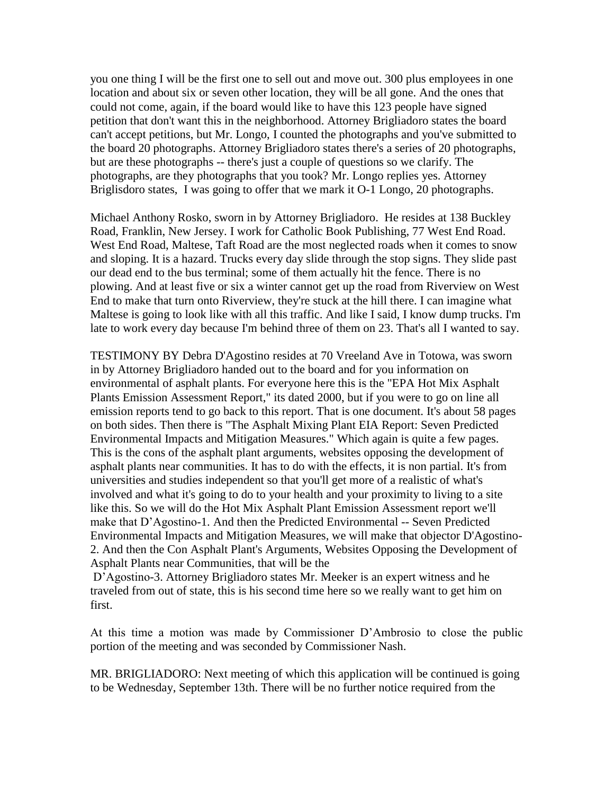you one thing I will be the first one to sell out and move out. 300 plus employees in one location and about six or seven other location, they will be all gone. And the ones that could not come, again, if the board would like to have this 123 people have signed petition that don't want this in the neighborhood. Attorney Brigliadoro states the board can't accept petitions, but Mr. Longo, I counted the photographs and you've submitted to the board 20 photographs. Attorney Brigliadoro states there's a series of 20 photographs, but are these photographs -- there's just a couple of questions so we clarify. The photographs, are they photographs that you took? Mr. Longo replies yes. Attorney Briglisdoro states, I was going to offer that we mark it O-1 Longo, 20 photographs.

Michael Anthony Rosko, sworn in by Attorney Brigliadoro. He resides at 138 Buckley Road, Franklin, New Jersey. I work for Catholic Book Publishing, 77 West End Road. West End Road, Maltese, Taft Road are the most neglected roads when it comes to snow and sloping. It is a hazard. Trucks every day slide through the stop signs. They slide past our dead end to the bus terminal; some of them actually hit the fence. There is no plowing. And at least five or six a winter cannot get up the road from Riverview on West End to make that turn onto Riverview, they're stuck at the hill there. I can imagine what Maltese is going to look like with all this traffic. And like I said, I know dump trucks. I'm late to work every day because I'm behind three of them on 23. That's all I wanted to say.

TESTIMONY BY Debra D'Agostino resides at 70 Vreeland Ave in Totowa, was sworn in by Attorney Brigliadoro handed out to the board and for you information on environmental of asphalt plants. For everyone here this is the "EPA Hot Mix Asphalt Plants Emission Assessment Report," its dated 2000, but if you were to go on line all emission reports tend to go back to this report. That is one document. It's about 58 pages on both sides. Then there is "The Asphalt Mixing Plant EIA Report: Seven Predicted Environmental Impacts and Mitigation Measures." Which again is quite a few pages. This is the cons of the asphalt plant arguments, websites opposing the development of asphalt plants near communities. It has to do with the effects, it is non partial. It's from universities and studies independent so that you'll get more of a realistic of what's involved and what it's going to do to your health and your proximity to living to a site like this. So we will do the Hot Mix Asphalt Plant Emission Assessment report we'll make that D'Agostino-1. And then the Predicted Environmental -- Seven Predicted Environmental Impacts and Mitigation Measures, we will make that objector D'Agostino-2. And then the Con Asphalt Plant's Arguments, Websites Opposing the Development of Asphalt Plants near Communities, that will be the

D'Agostino-3. Attorney Brigliadoro states Mr. Meeker is an expert witness and he traveled from out of state, this is his second time here so we really want to get him on first.

At this time a motion was made by Commissioner D'Ambrosio to close the public portion of the meeting and was seconded by Commissioner Nash.

MR. BRIGLIADORO: Next meeting of which this application will be continued is going to be Wednesday, September 13th. There will be no further notice required from the